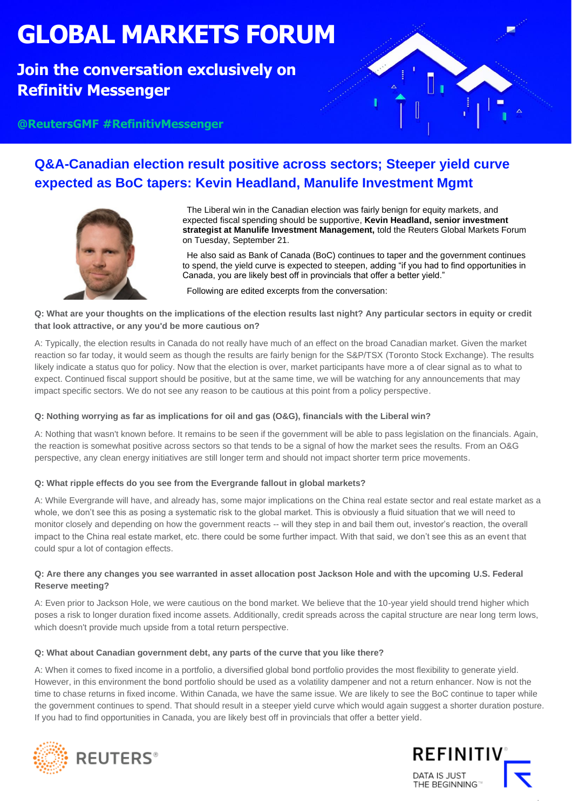# **GLOBAL MARKETS FORUM**

## **Join the conversation exclusively on Refinitiv Messenger**



**@ReutersGMF #RefinitivMessenger**

## **Q&A-Canadian election result positive across sectors; Steeper yield curve expected as BoC tapers: Kevin Headland, Manulife Investment Mgmt**



The Liberal win in the Canadian election was fairly benign for equity markets, and expected fiscal spending should be supportive, **Kevin Headland, senior investment strategist at Manulife Investment Management,** told the Reuters Global Markets Forum on Tuesday, September 21.

He also said as Bank of Canada (BoC) continues to taper and the government continues to spend, the yield curve is expected to steepen, adding "if you had to find opportunities in Canada, you are likely best off in provincials that offer a better yield."

Following are edited excerpts from the conversation:

**Q: What are your thoughts on the implications of the election results last night? Any particular sectors in equity or credit that look attractive, or any you'd be more cautious on?**

A: Typically, the election results in Canada do not really have much of an effect on the broad Canadian market. Given the market reaction so far today, it would seem as though the results are fairly benign for the S&P/TSX (Toronto Stock Exchange). The results likely indicate a status quo for policy. Now that the election is over, market participants have more a of clear signal as to what to expect. Continued fiscal support should be positive, but at the same time, we will be watching for any announcements that may impact specific sectors. We do not see any reason to be cautious at this point from a policy perspective.

#### **Q: Nothing worrying as far as implications for oil and gas (O&G), financials with the Liberal win?**

A: Nothing that wasn't known before. It remains to be seen if the government will be able to pass legislation on the financials. Again, the reaction is somewhat positive across sectors so that tends to be a signal of how the market sees the results. From an O&G perspective, any clean energy initiatives are still longer term and should not impact shorter term price movements.

#### **Q: What ripple effects do you see from the Evergrande fallout in global markets?**

A: While Evergrande will have, and already has, some major implications on the China real estate sector and real estate market as a whole, we don't see this as posing a systematic risk to the global market. This is obviously a fluid situation that we will need to monitor closely and depending on how the government reacts -- will they step in and bail them out, investor's reaction, the overall impact to the China real estate market, etc. there could be some further impact. With that said, we don't see this as an event that could spur a lot of contagion effects.

#### **Q: Are there any changes you see warranted in asset allocation post Jackson Hole and with the upcoming U.S. Federal Reserve meeting?**

A: Even prior to Jackson Hole, we were cautious on the bond market. We believe that the 10-year yield should trend higher which poses a risk to longer duration fixed income assets. Additionally, credit spreads across the capital structure are near long term lows, which doesn't provide much upside from a total return perspective.

#### **Q: What about Canadian government debt, any parts of the curve that you like there?**

A: When it comes to fixed income in a portfolio, a diversified global bond portfolio provides the most flexibility to generate yield. However, in this environment the bond portfolio should be used as a volatility dampener and not a return enhancer. Now is not the time to chase returns in fixed income. Within Canada, we have the same issue. We are likely to see the BoC continue to taper while the government continues to spend. That should result in a steeper yield curve which would again suggest a shorter duration posture. If you had to find opportunities in Canada, you are likely best off in provincials that offer a better yield.





.